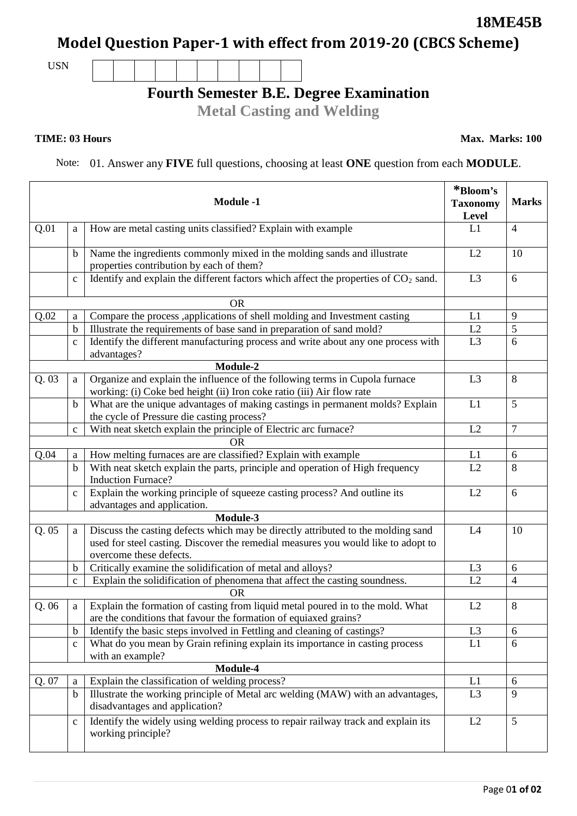## **Model Question Paper-1 with effect from 2019-20 (CBCS Scheme)**

USN

## **Fourth Semester B.E. Degree Examination**

**Metal Casting and Welding**

## **TIME: 03 Hours**

Note: 01. Answer any **FIVE** full questions, choosing at least **ONE** question from each **MODULE**.

|       |              | <b>Module -1</b>                                                                                                                                                                                 | *Bloom's<br><b>Taxonomy</b><br>Level | <b>Marks</b>   |
|-------|--------------|--------------------------------------------------------------------------------------------------------------------------------------------------------------------------------------------------|--------------------------------------|----------------|
| Q.01  | a            | How are metal casting units classified? Explain with example                                                                                                                                     | L1                                   | $\overline{4}$ |
|       | b            | Name the ingredients commonly mixed in the molding sands and illustrate<br>properties contribution by each of them?                                                                              | L2                                   | 10             |
|       | $\mathbf C$  | Identify and explain the different factors which affect the properties of $CO2$ sand.                                                                                                            | L <sub>3</sub>                       | 6              |
|       |              | <b>OR</b>                                                                                                                                                                                        |                                      |                |
| Q.02  | a            | Compare the process ,applications of shell molding and Investment casting                                                                                                                        | L1                                   | 9              |
|       | $\mathbf b$  | Illustrate the requirements of base sand in preparation of sand mold?                                                                                                                            | L2                                   | 5              |
|       | $\mathbf{C}$ | Identify the different manufacturing process and write about any one process with<br>advantages?                                                                                                 | L <sub>3</sub>                       | 6              |
|       |              | Module-2                                                                                                                                                                                         |                                      |                |
| Q.03  | a            | Organize and explain the influence of the following terms in Cupola furnace<br>working: (i) Coke bed height (ii) Iron coke ratio (iii) Air flow rate                                             | L <sub>3</sub>                       | 8              |
|       | b            | What are the unique advantages of making castings in permanent molds? Explain<br>the cycle of Pressure die casting process?                                                                      | L1                                   | 5              |
|       | $\mathbf c$  | With neat sketch explain the principle of Electric arc furnace?                                                                                                                                  | L2                                   | $\overline{7}$ |
|       |              | OR.                                                                                                                                                                                              |                                      |                |
| Q.04  | a            | How melting furnaces are are classified? Explain with example                                                                                                                                    | L1                                   | 6              |
|       | $\mathbf b$  | With neat sketch explain the parts, principle and operation of High frequency<br><b>Induction Furnace?</b>                                                                                       | L2                                   | 8              |
|       | $\mathbf c$  | Explain the working principle of squeeze casting process? And outline its<br>advantages and application.                                                                                         | L2                                   | 6              |
|       |              | Module-3                                                                                                                                                                                         |                                      |                |
| Q.05  | a            | Discuss the casting defects which may be directly attributed to the molding sand<br>used for steel casting. Discover the remedial measures you would like to adopt to<br>overcome these defects. | L4                                   | 10             |
|       | $\mathbf b$  | Critically examine the solidification of metal and alloys?                                                                                                                                       | L <sub>3</sub>                       | 6              |
|       | $\mathbf{C}$ | Explain the solidification of phenomena that affect the casting soundness.                                                                                                                       | L2                                   | $\overline{4}$ |
|       |              | <b>OR</b>                                                                                                                                                                                        |                                      |                |
| Q. 06 | a            | Explain the formation of casting from liquid metal poured in to the mold. What<br>are the conditions that favour the formation of equiaxed grains?                                               | L2                                   | 8              |
|       | b            | Identify the basic steps involved in Fettling and cleaning of castings?                                                                                                                          | L <sub>3</sub>                       | 6              |
|       | $\mathbf c$  | What do you mean by Grain refining explain its importance in casting process<br>with an example?                                                                                                 | L1                                   | 6              |
|       |              | Module-4                                                                                                                                                                                         |                                      |                |
| Q. 07 | a            | Explain the classification of welding process?                                                                                                                                                   | L1                                   | 6              |
|       | $\mathbf b$  | Illustrate the working principle of Metal arc welding (MAW) with an advantages,<br>disadvantages and application?                                                                                | L <sub>3</sub>                       | 9              |
|       | $\mathbf c$  | Identify the widely using welding process to repair railway track and explain its<br>working principle?                                                                                          | L2                                   | $\mathfrak{S}$ |

**Max. Marks: 100**

**18ME45B**